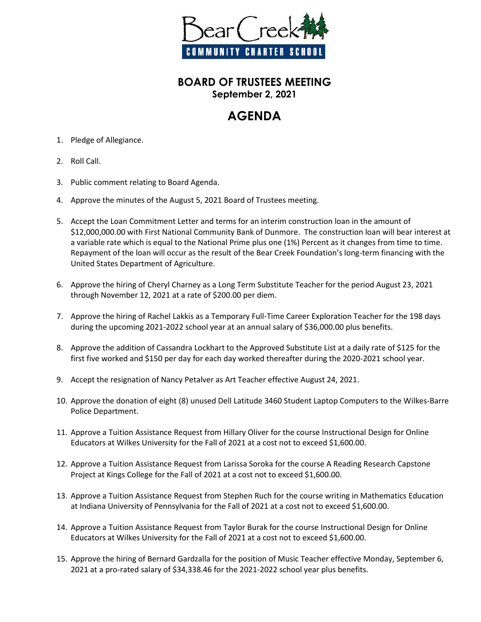

## **BOARD OF TRUSTEES MEETING September 2, 2021**

## **AGENDA**

- 1. Pledge of Allegiance.
- 2. Roll Call.
- 3. Public comment relating to Board Agenda.
- 4. Approve the minutes of the August 5, 2021 Board of Trustees meeting.
- 5. Accept the Loan Commitment Letter and terms for an interim construction loan in the amount of \$12,000,000.00 with First National Community Bank of Dunmore. The construction loan will bear interest at a variable rate which is equal to the National Prime plus one (1%) Percent as it changes from time to time. Repayment of the loan will occur as the result of the Bear Creek Foundation's long-term financing with the United States Department of Agriculture.
- 6. Approve the hiring of Cheryl Charney as a Long Term Substitute Teacher for the period August 23, 2021 through November 12, 2021 at a rate of \$200.00 per diem.
- 7. Approve the hiring of Rachel Lakkis as a Temporary Full-Time Career Exploration Teacher for the 198 days during the upcoming 2021-2022 school year at an annual salary of \$36,000.00 plus benefits.
- 8. Approve the addition of Cassandra Lockhart to the Approved Substitute List at a daily rate of \$125 for the first five worked and \$150 per day for each day worked thereafter during the 2020-2021 school year.
- 9. Accept the resignation of Nancy Petalver as Art Teacher effective August 24, 2021.
- 10. Approve the donation of eight (8) unused Dell Latitude 3460 Student Laptop Computers to the Wilkes-Barre Police Department.
- 11. Approve a Tuition Assistance Request from Hillary Oliver for the course Instructional Design for Online Educators at Wilkes University for the Fall of 2021 at a cost not to exceed \$1,600.00.
- 12. Approve a Tuition Assistance Request from Larissa Soroka for the course A Reading Research Capstone Project at Kings College for the Fall of 2021 at a cost not to exceed \$1,600.00.
- 13. Approve a Tuition Assistance Request from Stephen Ruch for the course writing in Mathematics Education at Indiana University of Pennsylvania for the Fall of 2021 at a cost not to exceed \$1,600.00.
- 14. Approve a Tuition Assistance Request from Taylor Burak for the course Instructional Design for Online Educators at Wilkes University for the Fall of 2021 at a cost not to exceed \$1,600.00.
- 15. Approve the hiring of Bernard Gardzalla for the position of Music Teacher effective Monday, September 6, 2021 at a pro-rated salary of \$34,338.46 for the 2021-2022 school year plus benefits.